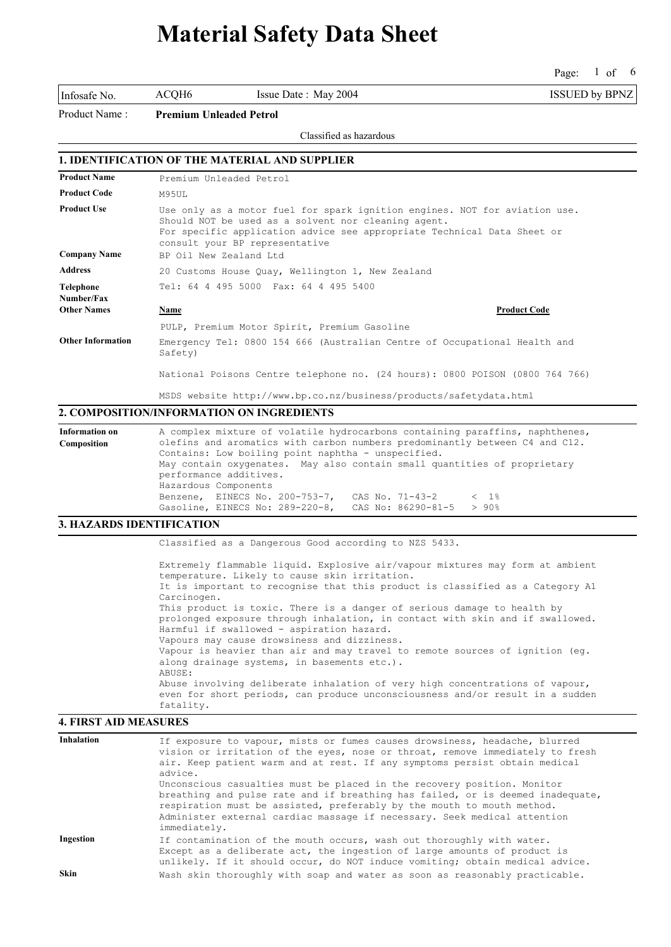Page: 1 of 6 of 6

Infosafe No. ACQH6 Issue Date : May 2004 ISSUED by BPNZ

Product Name : **Premium Unleaded Petrol**

#### Classified as hazardous

### **1. IDENTIFICATION OF THE MATERIAL AND SUPPLIER**

| <b>Product Name</b>      | Premium Unleaded Petrol                                                                                                                                                                                                                        |
|--------------------------|------------------------------------------------------------------------------------------------------------------------------------------------------------------------------------------------------------------------------------------------|
| <b>Product Code</b>      | M95UL                                                                                                                                                                                                                                          |
| <b>Product Use</b>       | Use only as a motor fuel for spark ignition engines. NOT for aviation use.<br>Should NOT be used as a solvent nor cleaning agent.<br>For specific application advice see appropriate Technical Data Sheet or<br>consult your BP representative |
| <b>Company Name</b>      | BP Oil New Zealand Ltd                                                                                                                                                                                                                         |
| <b>Address</b>           | 20 Customs House Quay, Wellington 1, New Zealand                                                                                                                                                                                               |
| Telephone<br>Number/Fax  | Tel: 64 4 495 5000 Fax: 64 4 495 5400                                                                                                                                                                                                          |
| <b>Other Names</b>       | <b>Product Code</b><br>Name                                                                                                                                                                                                                    |
|                          | PULP, Premium Motor Spirit, Premium Gasoline                                                                                                                                                                                                   |
| <b>Other Information</b> | Emergency Tel: 0800 154 666 (Australian Centre of Occupational Health and<br>Safety)                                                                                                                                                           |
|                          | National Poisons Centre telephone no. (24 hours): 0800 POISON (0800 764 766)                                                                                                                                                                   |

MSDS website http://www.bp.co.nz/business/products/safetydata.html

#### **2. COMPOSITION/INFORMATION ON INGREDIENTS**

| Information on | A complex mixture of volatile hydrocarbons containing paraffins, naphthenes, |
|----------------|------------------------------------------------------------------------------|
| Composition    | olefins and aromatics with carbon numbers predominantly between C4 and C12.  |
|                | Contains: Low boiling point naphtha - unspecified.                           |
|                | May contain oxygenates. May also contain small quantities of proprietary     |
|                | performance additives.                                                       |
|                | Hazardous Components                                                         |
|                | Benzene, EINECS No. 200-753-7, CAS No. 71-43-2<br>-< 1%                      |
|                | Gasoline, EINECS No: 289-220-8,<br>CAS No: $86290 - 81 - 5$ > 90%            |

#### **3. HAZARDS IDENTIFICATION**

Classified as a Dangerous Good according to NZS 5433.

Extremely flammable liquid. Explosive air/vapour mixtures may form at ambient temperature. Likely to cause skin irritation. It is important to recognise that this product is classified as a Category A1 Carcinogen. This product is toxic. There is a danger of serious damage to health by prolonged exposure through inhalation, in contact with skin and if swallowed. Harmful if swallowed - aspiration hazard. Vapours may cause drowsiness and dizziness. Vapour is heavier than air and may travel to remote sources of ignition (eg. along drainage systems, in basements etc.). ABUSE: Abuse involving deliberate inhalation of very high concentrations of vapour, even for short periods, can produce unconsciousness and/or result in a sudden fatality.

#### **4. FIRST AID MEASURES**

| <b>Inhalation</b> | If exposure to vapour, mists or fumes causes drowsiness, headache, blurred<br>vision or irritation of the eyes, nose or throat, remove immediately to fresh                                                                                                                                                                     |
|-------------------|---------------------------------------------------------------------------------------------------------------------------------------------------------------------------------------------------------------------------------------------------------------------------------------------------------------------------------|
|                   | air. Keep patient warm and at rest. If any symptoms persist obtain medical<br>advice.                                                                                                                                                                                                                                           |
|                   | Unconscious casualties must be placed in the recovery position. Monitor<br>breathing and pulse rate and if breathing has failed, or is deemed inadequate,<br>respiration must be assisted, preferably by the mouth to mouth method.<br>Administer external cardiac massage if necessary. Seek medical attention<br>immediately. |
| Ingestion         | If contamination of the mouth occurs, wash out thoroughly with water.<br>Except as a deliberate act, the ingestion of large amounts of product is<br>unlikely. If it should occur, do NOT induce vomiting; obtain medical advice.                                                                                               |
| <b>Skin</b>       | Wash skin thoroughly with soap and water as soon as reasonably practicable.                                                                                                                                                                                                                                                     |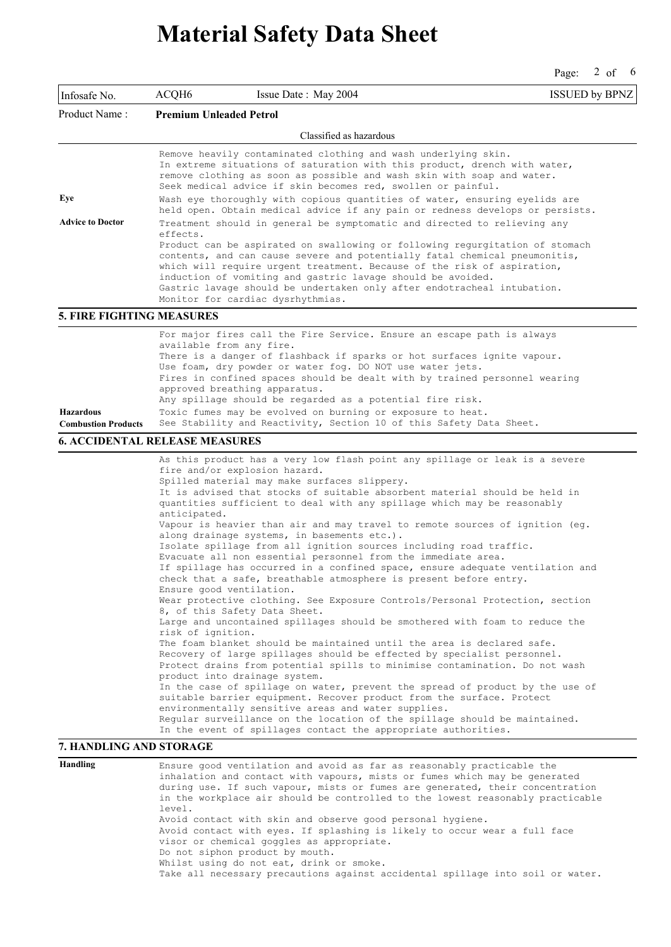Page: 2 of 6

| Infosafe No.                     | ACQH6                                                                                                                                                                                                                                                                                                                                                                                                                                                                                                                            | Issue Date: May 2004                                                                                                                                                                                                                                                                                                                                                                                                                                                                                                                                                                                                                                                                                                                                                                                                                                                                                                                                                                                                                                                                                                                                                                                                                                                                                                                                                                                                                                                                 | <b>ISSUED by BPNZ</b> |  |
|----------------------------------|----------------------------------------------------------------------------------------------------------------------------------------------------------------------------------------------------------------------------------------------------------------------------------------------------------------------------------------------------------------------------------------------------------------------------------------------------------------------------------------------------------------------------------|--------------------------------------------------------------------------------------------------------------------------------------------------------------------------------------------------------------------------------------------------------------------------------------------------------------------------------------------------------------------------------------------------------------------------------------------------------------------------------------------------------------------------------------------------------------------------------------------------------------------------------------------------------------------------------------------------------------------------------------------------------------------------------------------------------------------------------------------------------------------------------------------------------------------------------------------------------------------------------------------------------------------------------------------------------------------------------------------------------------------------------------------------------------------------------------------------------------------------------------------------------------------------------------------------------------------------------------------------------------------------------------------------------------------------------------------------------------------------------------|-----------------------|--|
| Product Name:                    | <b>Premium Unleaded Petrol</b>                                                                                                                                                                                                                                                                                                                                                                                                                                                                                                   |                                                                                                                                                                                                                                                                                                                                                                                                                                                                                                                                                                                                                                                                                                                                                                                                                                                                                                                                                                                                                                                                                                                                                                                                                                                                                                                                                                                                                                                                                      |                       |  |
|                                  |                                                                                                                                                                                                                                                                                                                                                                                                                                                                                                                                  | Classified as hazardous                                                                                                                                                                                                                                                                                                                                                                                                                                                                                                                                                                                                                                                                                                                                                                                                                                                                                                                                                                                                                                                                                                                                                                                                                                                                                                                                                                                                                                                              |                       |  |
| Eye<br><b>Advice to Doctor</b>   | Remove heavily contaminated clothing and wash underlying skin.<br>In extreme situations of saturation with this product, drench with water,<br>remove clothing as soon as possible and wash skin with soap and water.<br>Seek medical advice if skin becomes red, swollen or painful.<br>Wash eye thoroughly with copious quantities of water, ensuring eyelids are<br>held open. Obtain medical advice if any pain or redness develops or persists.<br>Treatment should in general be symptomatic and directed to relieving any |                                                                                                                                                                                                                                                                                                                                                                                                                                                                                                                                                                                                                                                                                                                                                                                                                                                                                                                                                                                                                                                                                                                                                                                                                                                                                                                                                                                                                                                                                      |                       |  |
|                                  | effects.<br>Product can be aspirated on swallowing or following requrgitation of stomach<br>contents, and can cause severe and potentially fatal chemical pneumonitis,<br>which will require urgent treatment. Because of the risk of aspiration,<br>induction of vomiting and gastric lavage should be avoided.<br>Gastric lavage should be undertaken only after endotracheal intubation.<br>Monitor for cardiac dysrhythmias.                                                                                                 |                                                                                                                                                                                                                                                                                                                                                                                                                                                                                                                                                                                                                                                                                                                                                                                                                                                                                                                                                                                                                                                                                                                                                                                                                                                                                                                                                                                                                                                                                      |                       |  |
| <b>5. FIRE FIGHTING MEASURES</b> |                                                                                                                                                                                                                                                                                                                                                                                                                                                                                                                                  |                                                                                                                                                                                                                                                                                                                                                                                                                                                                                                                                                                                                                                                                                                                                                                                                                                                                                                                                                                                                                                                                                                                                                                                                                                                                                                                                                                                                                                                                                      |                       |  |
|                                  | available from any fire.<br>approved breathing apparatus.                                                                                                                                                                                                                                                                                                                                                                                                                                                                        | For major fires call the Fire Service. Ensure an escape path is always<br>There is a danger of flashback if sparks or hot surfaces ignite vapour.<br>Use foam, dry powder or water fog. DO NOT use water jets.<br>Fires in confined spaces should be dealt with by trained personnel wearing<br>Any spillage should be regarded as a potential fire risk.                                                                                                                                                                                                                                                                                                                                                                                                                                                                                                                                                                                                                                                                                                                                                                                                                                                                                                                                                                                                                                                                                                                            |                       |  |
| <b>Hazardous</b>                 |                                                                                                                                                                                                                                                                                                                                                                                                                                                                                                                                  | Toxic fumes may be evolved on burning or exposure to heat.                                                                                                                                                                                                                                                                                                                                                                                                                                                                                                                                                                                                                                                                                                                                                                                                                                                                                                                                                                                                                                                                                                                                                                                                                                                                                                                                                                                                                           |                       |  |
| <b>Combustion Products</b>       |                                                                                                                                                                                                                                                                                                                                                                                                                                                                                                                                  | See Stability and Reactivity, Section 10 of this Safety Data Sheet.                                                                                                                                                                                                                                                                                                                                                                                                                                                                                                                                                                                                                                                                                                                                                                                                                                                                                                                                                                                                                                                                                                                                                                                                                                                                                                                                                                                                                  |                       |  |
|                                  | <b>6. ACCIDENTAL RELEASE MEASURES</b>                                                                                                                                                                                                                                                                                                                                                                                                                                                                                            |                                                                                                                                                                                                                                                                                                                                                                                                                                                                                                                                                                                                                                                                                                                                                                                                                                                                                                                                                                                                                                                                                                                                                                                                                                                                                                                                                                                                                                                                                      |                       |  |
| 7. HANDLING AND STORAGE          | fire and/or explosion hazard.<br>anticipated.<br>Ensure good ventilation.<br>8, of this Safety Data Sheet.<br>risk of ignition.<br>product into drainage system.                                                                                                                                                                                                                                                                                                                                                                 | As this product has a very low flash point any spillage or leak is a severe<br>Spilled material may make surfaces slippery.<br>It is advised that stocks of suitable absorbent material should be held in<br>quantities sufficient to deal with any spillage which may be reasonably<br>Vapour is heavier than air and may travel to remote sources of ignition (eq.<br>along drainage systems, in basements etc.).<br>Isolate spillage from all ignition sources including road traffic.<br>Evacuate all non essential personnel from the immediate area.<br>If spillage has occurred in a confined space, ensure adequate ventilation and<br>check that a safe, breathable atmosphere is present before entry.<br>Wear protective clothing. See Exposure Controls/Personal Protection, section<br>Large and uncontained spillages should be smothered with foam to reduce the<br>The foam blanket should be maintained until the area is declared safe.<br>Recovery of large spillages should be effected by specialist personnel.<br>Protect drains from potential spills to minimise contamination. Do not wash<br>In the case of spillage on water, prevent the spread of product by the use of<br>suitable barrier equipment. Recover product from the surface. Protect<br>environmentally sensitive areas and water supplies.<br>Regular surveillance on the location of the spillage should be maintained.<br>In the event of spillages contact the appropriate authorities. |                       |  |
|                                  |                                                                                                                                                                                                                                                                                                                                                                                                                                                                                                                                  |                                                                                                                                                                                                                                                                                                                                                                                                                                                                                                                                                                                                                                                                                                                                                                                                                                                                                                                                                                                                                                                                                                                                                                                                                                                                                                                                                                                                                                                                                      |                       |  |
| Handling                         | level.<br>Do not siphon product by mouth.                                                                                                                                                                                                                                                                                                                                                                                                                                                                                        | Ensure good ventilation and avoid as far as reasonably practicable the<br>inhalation and contact with vapours, mists or fumes which may be generated<br>during use. If such vapour, mists or fumes are generated, their concentration<br>in the workplace air should be controlled to the lowest reasonably practicable<br>Avoid contact with skin and observe good personal hygiene.<br>Avoid contact with eyes. If splashing is likely to occur wear a full face<br>visor or chemical goggles as appropriate.<br>Whilst using do not eat, drink or smoke.                                                                                                                                                                                                                                                                                                                                                                                                                                                                                                                                                                                                                                                                                                                                                                                                                                                                                                                          |                       |  |

Take all necessary precautions against accidental spillage into soil or water.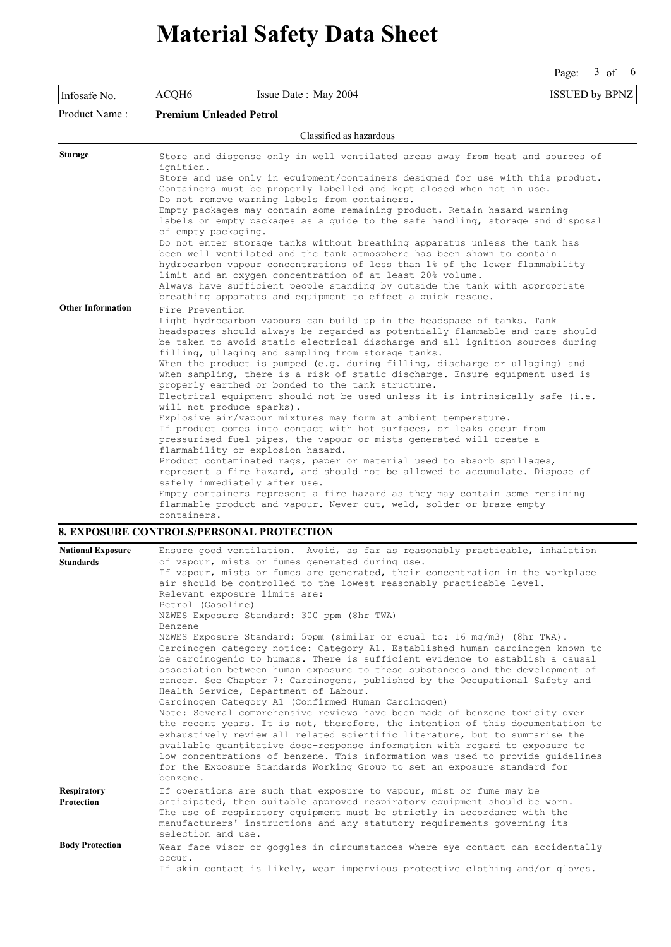Page: 3 of 6

| Infosafe No.             | ACQH6                          | Issue Date: May 2004                                                                                                                                                                                                 | <b>ISSUED by BPNZ</b> |  |
|--------------------------|--------------------------------|----------------------------------------------------------------------------------------------------------------------------------------------------------------------------------------------------------------------|-----------------------|--|
| Product Name:            | <b>Premium Unleaded Petrol</b> |                                                                                                                                                                                                                      |                       |  |
|                          |                                | Classified as hazardous                                                                                                                                                                                              |                       |  |
| <b>Storage</b>           | ignition.                      | Store and dispense only in well ventilated areas away from heat and sources of                                                                                                                                       |                       |  |
|                          |                                | Store and use only in equipment/containers designed for use with this product.<br>Containers must be properly labelled and kept closed when not in use.                                                              |                       |  |
|                          |                                | Do not remove warning labels from containers.<br>Empty packages may contain some remaining product. Retain hazard warning                                                                                            |                       |  |
|                          | of empty packaging.            | labels on empty packages as a guide to the safe handling, storage and disposal                                                                                                                                       |                       |  |
|                          |                                | Do not enter storage tanks without breathing apparatus unless the tank has<br>been well ventilated and the tank atmosphere has been shown to contain                                                                 |                       |  |
|                          |                                | hydrocarbon vapour concentrations of less than 1% of the lower flammability<br>limit and an oxygen concentration of at least 20% volume.                                                                             |                       |  |
|                          |                                | Always have sufficient people standing by outside the tank with appropriate                                                                                                                                          |                       |  |
|                          |                                | breathing apparatus and equipment to effect a quick rescue.                                                                                                                                                          |                       |  |
| <b>Other Information</b> | Fire Prevention                |                                                                                                                                                                                                                      |                       |  |
|                          |                                | Light hydrocarbon vapours can build up in the headspace of tanks. Tank                                                                                                                                               |                       |  |
|                          |                                | headspaces should always be regarded as potentially flammable and care should<br>be taken to avoid static electrical discharge and all ignition sources during<br>filling, ullaging and sampling from storage tanks. |                       |  |
|                          |                                | When the product is pumped (e.g. during filling, discharge or ullaging) and                                                                                                                                          |                       |  |
|                          |                                | when sampling, there is a risk of static discharge. Ensure equipment used is<br>properly earthed or bonded to the tank structure.                                                                                    |                       |  |
|                          |                                | Electrical equipment should not be used unless it is intrinsically safe (i.e.<br>will not produce sparks).                                                                                                           |                       |  |
|                          |                                | Explosive air/vapour mixtures may form at ambient temperature.                                                                                                                                                       |                       |  |
|                          |                                | If product comes into contact with hot surfaces, or leaks occur from                                                                                                                                                 |                       |  |
|                          |                                | pressurised fuel pipes, the vapour or mists generated will create a<br>flammability or explosion hazard.                                                                                                             |                       |  |
|                          |                                | Product contaminated rags, paper or material used to absorb spillages,                                                                                                                                               |                       |  |
|                          |                                | represent a fire hazard, and should not be allowed to accumulate. Dispose of<br>safely immediately after use.                                                                                                        |                       |  |
|                          |                                | Empty containers represent a fire hazard as they may contain some remaining                                                                                                                                          |                       |  |
|                          | containers.                    | flammable product and vapour. Never cut, weld, solder or braze empty                                                                                                                                                 |                       |  |

### **8. EXPOSURE CONTROLS/PERSONAL PROTECTION**

| <b>National Exposure</b>         | Ensure good ventilation. Avoid, as far as reasonably practicable, inhalation                                                                                                                                                                                                                                                                                                                                                                                                                                                                                                                                                                                                                                                                                                                                                                                                                                                                                                                             |
|----------------------------------|----------------------------------------------------------------------------------------------------------------------------------------------------------------------------------------------------------------------------------------------------------------------------------------------------------------------------------------------------------------------------------------------------------------------------------------------------------------------------------------------------------------------------------------------------------------------------------------------------------------------------------------------------------------------------------------------------------------------------------------------------------------------------------------------------------------------------------------------------------------------------------------------------------------------------------------------------------------------------------------------------------|
| <b>Standards</b>                 | of vapour, mists or fumes generated during use.<br>If vapour, mists or fumes are generated, their concentration in the workplace<br>air should be controlled to the lowest reasonably practicable level.<br>Relevant exposure limits are:<br>Petrol (Gasoline)<br>NZWES Exposure Standard: 300 ppm (8hr TWA)<br>Benzene<br>NZWES Exposure Standard: 5ppm (similar or equal to: 16 mq/m3) (8hr TWA).<br>Carcinogen category notice: Category A1. Established human carcinogen known to<br>be carcinogenic to humans. There is sufficient evidence to establish a causal<br>association between human exposure to these substances and the development of<br>cancer. See Chapter 7: Carcinogens, published by the Occupational Safety and<br>Health Service, Department of Labour.<br>Carcinogen Category A1 (Confirmed Human Carcinogen)<br>Note: Several comprehensive reviews have been made of benzene toxicity over<br>the recent years. It is not, therefore, the intention of this documentation to |
|                                  | exhaustively review all related scientific literature, but to summarise the<br>available quantitative dose-response information with regard to exposure to<br>low concentrations of benzene. This information was used to provide quidelines<br>for the Exposure Standards Working Group to set an exposure standard for<br>benzene.                                                                                                                                                                                                                                                                                                                                                                                                                                                                                                                                                                                                                                                                     |
| <b>Respiratory</b><br>Protection | If operations are such that exposure to vapour, mist or fume may be<br>anticipated, then suitable approved respiratory equipment should be worn.<br>The use of respiratory equipment must be strictly in accordance with the<br>manufacturers' instructions and any statutory requirements governing its<br>selection and use.                                                                                                                                                                                                                                                                                                                                                                                                                                                                                                                                                                                                                                                                           |
| <b>Body Protection</b>           | Wear face visor or goggles in circumstances where eye contact can accidentally<br>occur.<br>If skin contact is likely, wear impervious protective clothing and/or gloves.                                                                                                                                                                                                                                                                                                                                                                                                                                                                                                                                                                                                                                                                                                                                                                                                                                |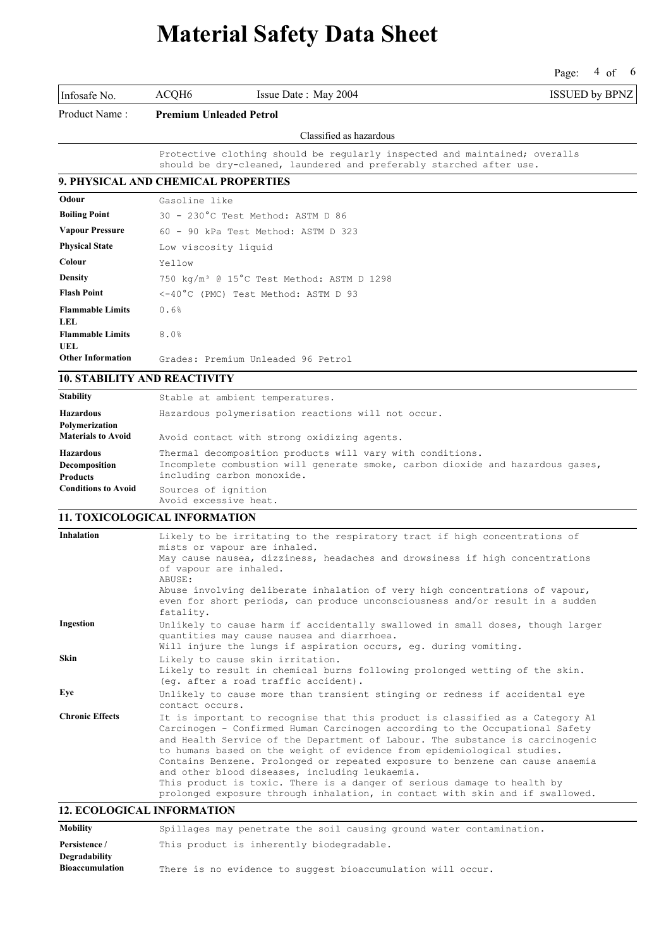Page: 4 of 6

|                                                      |                                                                                                                                                                           |                                             | 1 agu.<br>$\cdot$ $\cdot$ $\cdot$ |  |
|------------------------------------------------------|---------------------------------------------------------------------------------------------------------------------------------------------------------------------------|---------------------------------------------|-----------------------------------|--|
| Infosafe No.                                         | ACQH6                                                                                                                                                                     | Issue Date: May 2004                        | <b>ISSUED by BPNZ</b>             |  |
| Product Name:                                        | <b>Premium Unleaded Petrol</b>                                                                                                                                            |                                             |                                   |  |
|                                                      |                                                                                                                                                                           | Classified as hazardous                     |                                   |  |
|                                                      | Protective clothing should be regularly inspected and maintained; overalls<br>should be dry-cleaned, laundered and preferably starched after use.                         |                                             |                                   |  |
| 9. PHYSICAL AND CHEMICAL PROPERTIES                  |                                                                                                                                                                           |                                             |                                   |  |
| Odour                                                | Gasoline like                                                                                                                                                             |                                             |                                   |  |
| <b>Boiling Point</b>                                 |                                                                                                                                                                           | 30 - 230°C Test Method: ASTM D 86           |                                   |  |
| <b>Vapour Pressure</b>                               |                                                                                                                                                                           | 60 - 90 kPa Test Method: ASTM D 323         |                                   |  |
| <b>Physical State</b>                                | Low viscosity liquid                                                                                                                                                      |                                             |                                   |  |
| Colour                                               | Yellow                                                                                                                                                                    |                                             |                                   |  |
| <b>Density</b>                                       | 750 kg/m <sup>3</sup> @ 15°C Test Method: ASTM D 1298                                                                                                                     |                                             |                                   |  |
| <b>Flash Point</b>                                   | <-40°C (PMC) Test Method: ASTM D 93                                                                                                                                       |                                             |                                   |  |
| <b>Flammable Limits</b><br><b>LEL</b>                | 0.6%                                                                                                                                                                      |                                             |                                   |  |
| <b>Flammable Limits</b><br>UEL                       | 8.0%                                                                                                                                                                      |                                             |                                   |  |
| <b>Other Information</b>                             | Grades: Premium Unleaded 96 Petrol                                                                                                                                        |                                             |                                   |  |
| <b>10. STABILITY AND REACTIVITY</b>                  |                                                                                                                                                                           |                                             |                                   |  |
| <b>Stability</b>                                     |                                                                                                                                                                           | Stable at ambient temperatures.             |                                   |  |
| <b>Hazardous</b><br>Polymerization                   | Hazardous polymerisation reactions will not occur.                                                                                                                        |                                             |                                   |  |
| <b>Materials to Avoid</b>                            |                                                                                                                                                                           | Avoid contact with strong oxidizing agents. |                                   |  |
| <b>Hazardous</b><br>Decomposition<br><b>Products</b> | Thermal decomposition products will vary with conditions.<br>Incomplete combustion will generate smoke, carbon dioxide and hazardous gases,<br>including carbon monoxide. |                                             |                                   |  |
| <b>Conditions to Avoid</b>                           | Sources of ignition                                                                                                                                                       |                                             |                                   |  |

#### **11. TOXICOLOGICAL INFORMATION**

Avoid excessive heat.

| <b>Inhalation</b>            | Likely to be irritating to the respiratory tract if high concentrations of<br>mists or vapour are inhaled.                                                                                                                                                                                                                                                                                                                                                                                                                                                                                                               |
|------------------------------|--------------------------------------------------------------------------------------------------------------------------------------------------------------------------------------------------------------------------------------------------------------------------------------------------------------------------------------------------------------------------------------------------------------------------------------------------------------------------------------------------------------------------------------------------------------------------------------------------------------------------|
|                              | May cause nausea, dizziness, headaches and drowsiness if high concentrations<br>of vapour are inhaled.<br>ABUSE:                                                                                                                                                                                                                                                                                                                                                                                                                                                                                                         |
|                              | Abuse involving deliberate inhalation of very high concentrations of vapour,<br>even for short periods, can produce unconsciousness and/or result in a sudden<br>fatality.                                                                                                                                                                                                                                                                                                                                                                                                                                               |
| Ingestion                    | Unlikely to cause harm if accidentally swallowed in small doses, though larger<br>quantities may cause nausea and diarrhoea.<br>Will injure the lungs if aspiration occurs, eg. during vomiting.                                                                                                                                                                                                                                                                                                                                                                                                                         |
| Skin                         | Likely to cause skin irritation.<br>Likely to result in chemical burns following prolonged wetting of the skin.<br>(eq. after a road traffic accident).                                                                                                                                                                                                                                                                                                                                                                                                                                                                  |
| Eye                          | Unlikely to cause more than transient stinging or redness if accidental eye<br>contact occurs.                                                                                                                                                                                                                                                                                                                                                                                                                                                                                                                           |
| <b>Chronic Effects</b>       | It is important to recognise that this product is classified as a Category Al<br>Carcinogen - Confirmed Human Carcinogen according to the Occupational Safety<br>and Health Service of the Department of Labour. The substance is carcinogenic<br>to humans based on the weight of evidence from epidemiological studies.<br>Contains Benzene. Prolonged or repeated exposure to benzene can cause anaemia<br>and other blood diseases, including leukaemia.<br>This product is toxic. There is a danger of serious damage to health by<br>prolonged exposure through inhalation, in contact with skin and if swallowed. |
| 14 BOOI QOIQ IT INBODILLEION |                                                                                                                                                                                                                                                                                                                                                                                                                                                                                                                                                                                                                          |

### **12. ECOLOGICAL INFORMATION**

| Mobility        | Spillages may penetrate the soil causing ground water contamination. |
|-----------------|----------------------------------------------------------------------|
| Persistence /   | This product is inherently biodegradable.                            |
| Degradability   |                                                                      |
| Bioaccumulation | There is no evidence to suggest bioaccumulation will occur.          |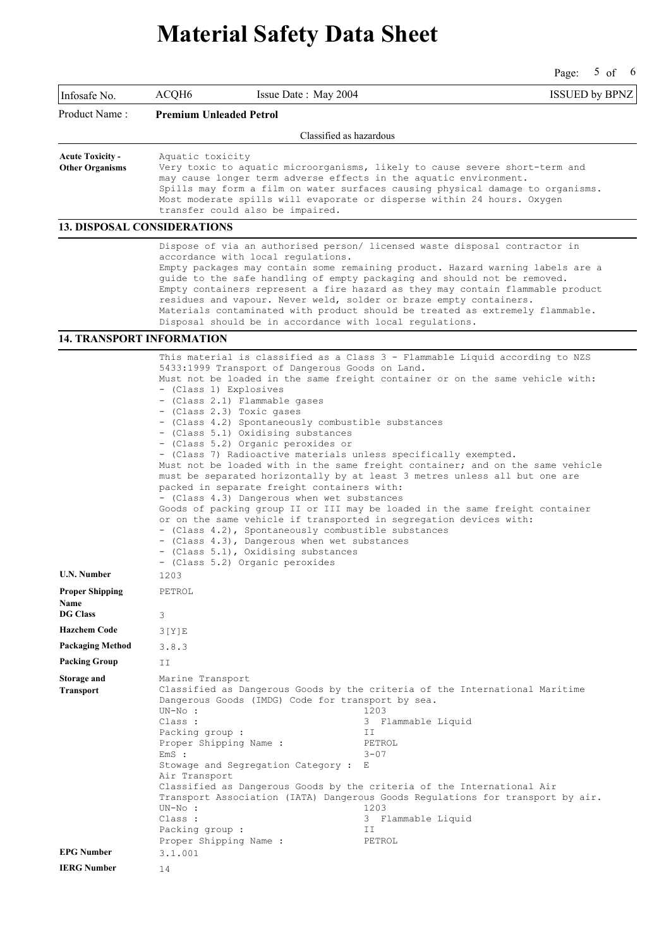Page: 5 of 6

| Infosafe No.                                                            | ACQH6<br>Issue Date: May 2004                                                                                                                                                                                                                                                                                                                                                                                                                                                                                                                                                                                                                                                                                                                                                                                                                                                                                                                                                                                                                                                                                                             |                                                                                                           | <b>ISSUED by BPNZ</b> |  |
|-------------------------------------------------------------------------|-------------------------------------------------------------------------------------------------------------------------------------------------------------------------------------------------------------------------------------------------------------------------------------------------------------------------------------------------------------------------------------------------------------------------------------------------------------------------------------------------------------------------------------------------------------------------------------------------------------------------------------------------------------------------------------------------------------------------------------------------------------------------------------------------------------------------------------------------------------------------------------------------------------------------------------------------------------------------------------------------------------------------------------------------------------------------------------------------------------------------------------------|-----------------------------------------------------------------------------------------------------------|-----------------------|--|
| Product Name :                                                          | <b>Premium Unleaded Petrol</b>                                                                                                                                                                                                                                                                                                                                                                                                                                                                                                                                                                                                                                                                                                                                                                                                                                                                                                                                                                                                                                                                                                            |                                                                                                           |                       |  |
|                                                                         |                                                                                                                                                                                                                                                                                                                                                                                                                                                                                                                                                                                                                                                                                                                                                                                                                                                                                                                                                                                                                                                                                                                                           | Classified as hazardous                                                                                   |                       |  |
| <b>Acute Toxicity -</b><br><b>Other Organisms</b>                       | Aquatic toxicity<br>Very toxic to aquatic microorganisms, likely to cause severe short-term and<br>may cause longer term adverse effects in the aquatic environment.<br>Spills may form a film on water surfaces causing physical damage to organisms.<br>Most moderate spills will evaporate or disperse within 24 hours. Oxygen<br>transfer could also be impaired.                                                                                                                                                                                                                                                                                                                                                                                                                                                                                                                                                                                                                                                                                                                                                                     |                                                                                                           |                       |  |
|                                                                         | <b>13. DISPOSAL CONSIDERATIONS</b>                                                                                                                                                                                                                                                                                                                                                                                                                                                                                                                                                                                                                                                                                                                                                                                                                                                                                                                                                                                                                                                                                                        |                                                                                                           |                       |  |
|                                                                         | Dispose of via an authorised person/ licensed waste disposal contractor in<br>accordance with local regulations.<br>Empty packages may contain some remaining product. Hazard warning labels are a<br>guide to the safe handling of empty packaging and should not be removed.<br>Empty containers represent a fire hazard as they may contain flammable product<br>residues and vapour. Never weld, solder or braze empty containers.<br>Materials contaminated with product should be treated as extremely flammable.<br>Disposal should be in accordance with local regulations.                                                                                                                                                                                                                                                                                                                                                                                                                                                                                                                                                       |                                                                                                           |                       |  |
|                                                                         | <b>14. TRANSPORT INFORMATION</b>                                                                                                                                                                                                                                                                                                                                                                                                                                                                                                                                                                                                                                                                                                                                                                                                                                                                                                                                                                                                                                                                                                          |                                                                                                           |                       |  |
| <b>U.N. Number</b><br><b>Proper Shipping</b><br>Name<br><b>DG Class</b> | This material is classified as a Class 3 - Flammable Liquid according to NZS<br>5433:1999 Transport of Dangerous Goods on Land.<br>Must not be loaded in the same freight container or on the same vehicle with:<br>- (Class 1) Explosives<br>- (Class 2.1) Flammable gases<br>- (Class 2.3) Toxic gases<br>- (Class 4.2) Spontaneously combustible substances<br>- (Class 5.1) Oxidising substances<br>- (Class 5.2) Organic peroxides or<br>- (Class 7) Radioactive materials unless specifically exempted.<br>Must not be loaded with in the same freight container; and on the same vehicle<br>must be separated horizontally by at least 3 metres unless all but one are<br>packed in separate freight containers with:<br>- (Class 4.3) Dangerous when wet substances<br>Goods of packing group II or III may be loaded in the same freight container<br>or on the same vehicle if transported in segregation devices with:<br>- (Class 4.2), Spontaneously combustible substances<br>- (Class 4.3), Dangerous when wet substances<br>- (Class 5.1), Oxidising substances<br>- (Class 5.2) Organic peroxides<br>1203<br>PETROL<br>3 |                                                                                                           |                       |  |
| <b>Hazchem Code</b>                                                     |                                                                                                                                                                                                                                                                                                                                                                                                                                                                                                                                                                                                                                                                                                                                                                                                                                                                                                                                                                                                                                                                                                                                           |                                                                                                           |                       |  |
| Packaging Method                                                        | 3[Y]E<br>3.8.3                                                                                                                                                                                                                                                                                                                                                                                                                                                                                                                                                                                                                                                                                                                                                                                                                                                                                                                                                                                                                                                                                                                            |                                                                                                           |                       |  |
| <b>Packing Group</b>                                                    | ΙI                                                                                                                                                                                                                                                                                                                                                                                                                                                                                                                                                                                                                                                                                                                                                                                                                                                                                                                                                                                                                                                                                                                                        |                                                                                                           |                       |  |
| Storage and<br><b>Transport</b>                                         | Marine Transport<br>Classified as Dangerous Goods by the criteria of the International Maritime<br>Dangerous Goods (IMDG) Code for transport by sea.<br>$UN-No:$<br>Class :<br>Packing group :<br>Proper Shipping Name :<br>EmS:<br>Stowage and Segregation Category :<br>Air Transport<br>Classified as Dangerous Goods by the criteria of the International Air<br>Transport Association (IATA) Dangerous Goods Regulations for transport by air.<br>$UN-NO:$<br>Class :<br>Packing group :<br>Proper Shipping Name :                                                                                                                                                                                                                                                                                                                                                                                                                                                                                                                                                                                                                   | 1203<br>3 Flammable Liquid<br>ΙI<br>PETROL<br>$3 - 07$<br>Е<br>1203<br>3 Flammable Liquid<br>ΙI<br>PETROL |                       |  |
| <b>EPG Number</b>                                                       | 3.1.001                                                                                                                                                                                                                                                                                                                                                                                                                                                                                                                                                                                                                                                                                                                                                                                                                                                                                                                                                                                                                                                                                                                                   |                                                                                                           |                       |  |
| <b>IERG Number</b>                                                      | 14                                                                                                                                                                                                                                                                                                                                                                                                                                                                                                                                                                                                                                                                                                                                                                                                                                                                                                                                                                                                                                                                                                                                        |                                                                                                           |                       |  |